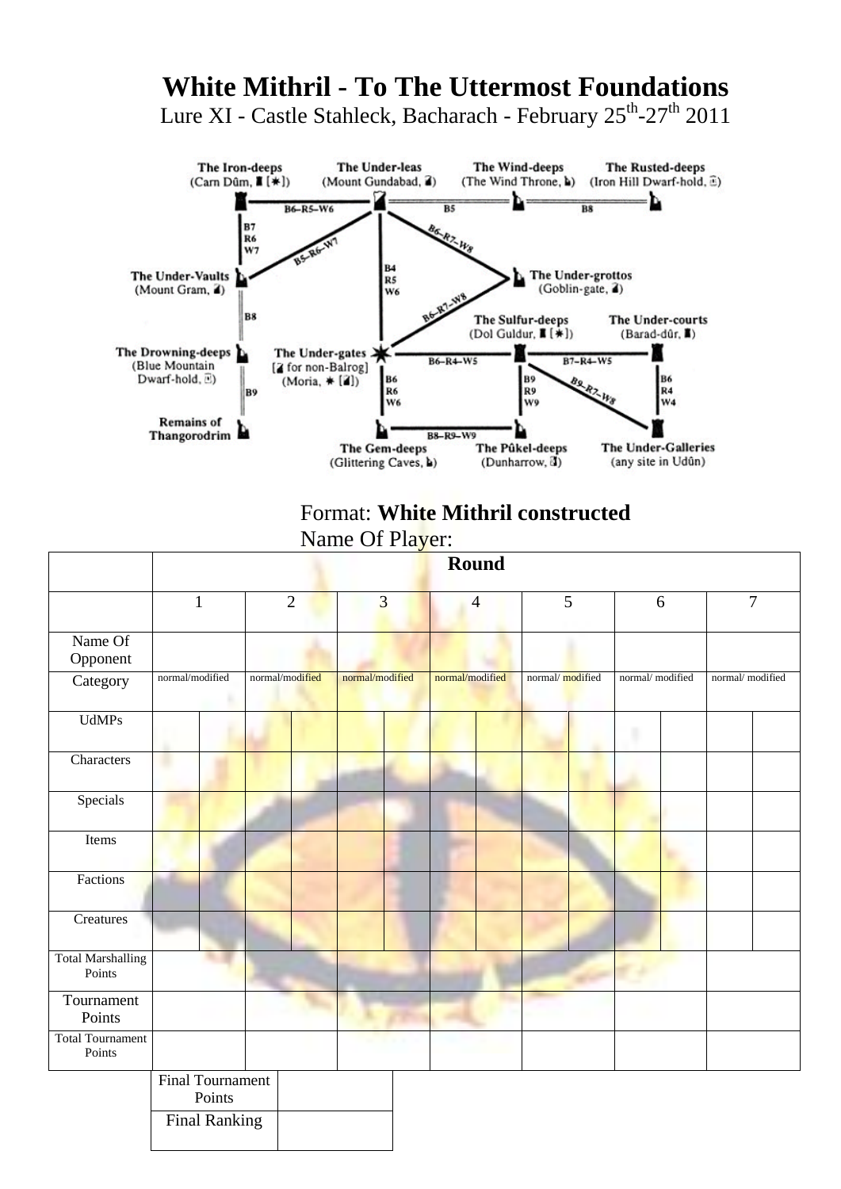## **White Mithril - To The Uttermost Foundations** Lure XI - Castle Stahleck, Bacharach - February 25<sup>th</sup>-27<sup>th</sup> 2011



## Format: **White Mithril constructed**

Name Of Player:

|                                    |                                   |                 |                         | Round           |                 |                 |                 |
|------------------------------------|-----------------------------------|-----------------|-------------------------|-----------------|-----------------|-----------------|-----------------|
|                                    | $\mathbf{1}$                      | $\overline{2}$  | $\overline{\mathbf{3}}$ | $\overline{4}$  | 5               | 6               | $\overline{7}$  |
| Name Of<br>Opponent                |                                   |                 |                         |                 |                 |                 |                 |
| Category                           | normal/modified                   | normal/modified | normal/modified         | normal/modified | normal/modified | normal/modified | normal/modified |
| <b>UdMPs</b>                       |                                   |                 |                         |                 |                 |                 |                 |
| Characters                         |                                   |                 |                         |                 |                 |                 |                 |
| Specials                           |                                   |                 |                         |                 |                 |                 |                 |
| Items                              |                                   |                 |                         |                 |                 |                 |                 |
| Factions                           |                                   |                 |                         |                 |                 |                 |                 |
| Creatures                          |                                   |                 |                         |                 |                 |                 |                 |
| <b>Total Marshalling</b><br>Points |                                   |                 |                         |                 |                 |                 |                 |
| Tournament<br>Points               |                                   |                 |                         |                 |                 |                 |                 |
| <b>Total Tournament</b><br>Points  |                                   |                 |                         |                 |                 |                 |                 |
|                                    | <b>Final Tournament</b><br>Points |                 |                         |                 |                 |                 |                 |
|                                    | <b>Final Ranking</b>              |                 |                         |                 |                 |                 |                 |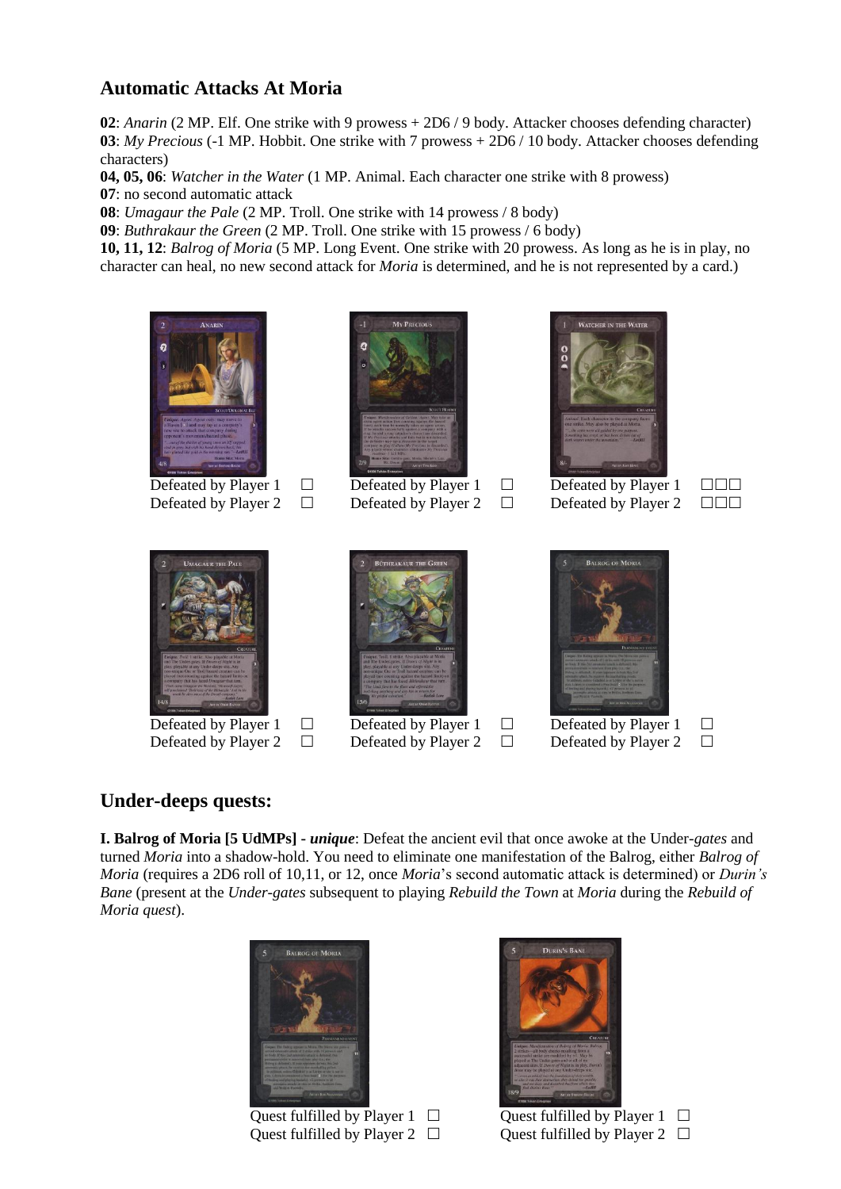## **Automatic Attacks At Moria**

**02**: *Anarin* (2 MP. Elf. One strike with 9 prowess + 2D6 / 9 body. Attacker chooses defending character) **03**: *My Precious* (-1 MP. Hobbit. One strike with 7 prowess + 2D6 / 10 body. Attacker chooses defending characters)

**04, 05, 06**: *Watcher in the Water* (1 MP. Animal. Each character one strike with 8 prowess)

**07**: no second automatic attack

**08**: *Umagaur the Pale* (2 MP. Troll. One strike with 14 prowess / 8 body)

**09**: *Buthrakaur the Green* (2 MP. Troll. One strike with 15 prowess / 6 body)

**10, 11, 12**: *Balrog of Moria* (5 MP. Long Event. One strike with 20 prowess. As long as he is in play, no character can heal, no new second attack for *Moria* is determined, and he is not represented by a card.)





Defeated by Player 1  $\Box$  Defeated by Player 1  $\Box$  Defeated by Player 1  $\Box$ Defeated by Player 2  $\Box$  Defeated by Player 2  $\Box$  Defeated by Player 2  $\Box$ 







Defeated by Player 1  $\Box$  Defeated by Player 1  $\Box$  Defeated by Player 1  $\Box$ Defeated by Player 2  $\Box$  Defeated by Player 2  $\Box$  Defeated by Player 2  $\Box$ 



## **Under-deeps quests:**

**I. Balrog of Moria [5 UdMPs] -** *unique*: Defeat the ancient evil that once awoke at the Under*-gates* and turned *Moria* into a shadow-hold. You need to eliminate one manifestation of the Balrog, either *Balrog of Moria* (requires a 2D6 roll of 10,11, or 12, once *Moria*'s second automatic attack is determined) or *Durin's Bane* (present at the *Under-gates* subsequent to playing *Rebuild the Town* at *Moria* during the *Rebuild of Moria quest*).



Quest fulfilled by Player 1  $\Box$  Quest fulfilled by Player 1  $\Box$ Quest fulfilled by Player 2  $\Box$  Quest fulfilled by Player 2  $\Box$ 

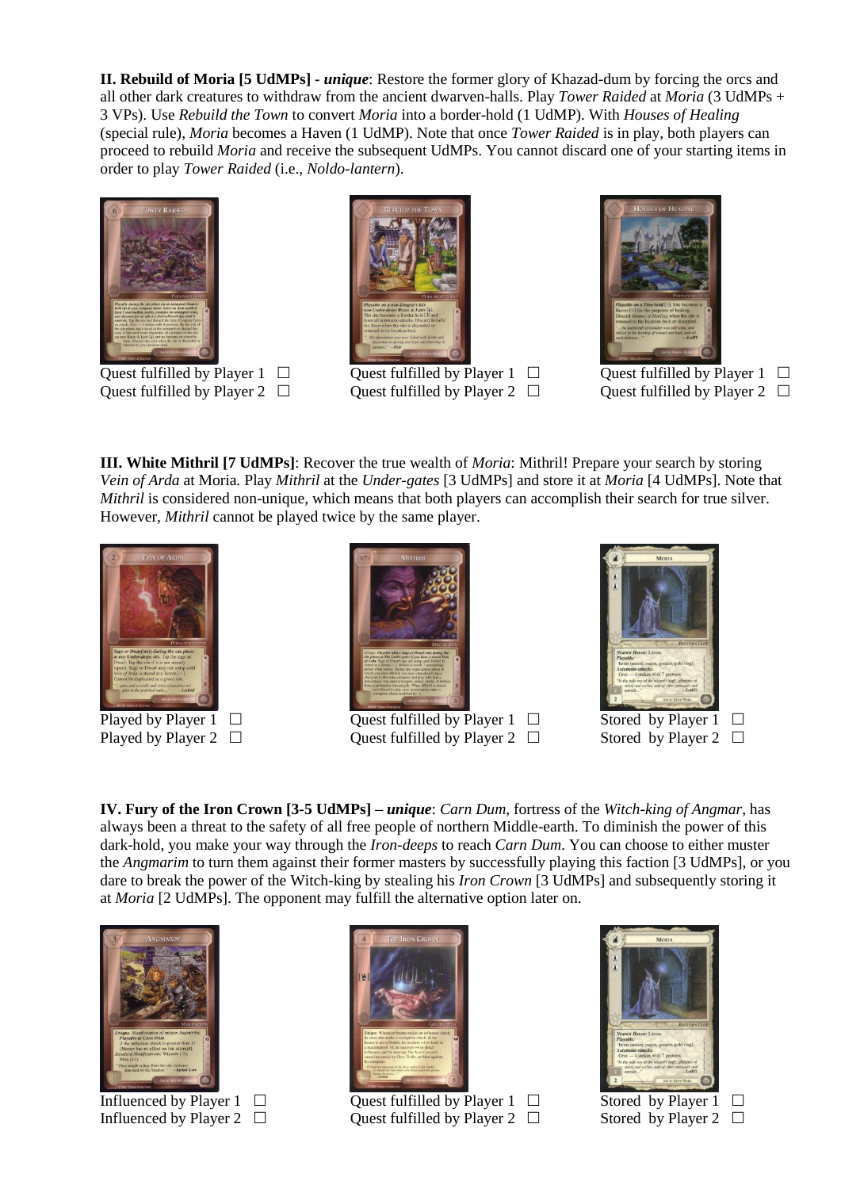**II. Rebuild of Moria [5 UdMPs] -** *unique*: Restore the former glory of Khazad-dum by forcing the orcs and all other dark creatures to withdraw from the ancient dwarven-halls. Play *Tower Raided* at *Moria* (3 UdMPs + 3 VPs). Use *Rebuild the Town* to convert *Moria* into a border-hold (1 UdMP). With *Houses of Healing*  (special rule), *Moria* becomes a Haven (1 UdMP). Note that once *Tower Raided* is in play, both players can proceed to rebuild *Moria* and receive the subsequent UdMPs. You cannot discard one of your starting items in order to play *Tower Raided* (i.e., *Noldo-lantern*).



Quest fulfilled by Player 1  $\Box$  Quest fulfilled by Player 1  $\Box$  Quest fulfilled by Player 1  $\Box$ 



Quest fulfilled by Player 2  $\Box$  Quest fulfilled by Player 2  $\Box$  Quest fulfilled by Player 2  $\Box$ 



**III. White Mithril [7 UdMPs]**: Recover the true wealth of *Moria*: Mithril! Prepare your search by storing *Vein of Arda* at Moria. Play *Mithril* at the *Under-gates* [3 UdMPs] and store it at *Moria* [4 UdMPs]. Note that *Mithril* is considered non-unique, which means that both players can accomplish their search for true silver. However, *Mithril* cannot be played twice by the same player.





Played by Player 1  $\Box$  Ouest fulfilled by Player 1  $\Box$  Stored by Player 1  $\Box$ Played by Player 2  $\Box$  Ouest fulfilled by Player 2  $\Box$  Stored by Player 2  $\Box$ 



**IV. Fury of the Iron Crown [3-5 UdMPs] –** *unique*: *Carn Dum*, fortress of the *Witch-king of Angmar*, has always been a threat to the safety of all free people of northern Middle-earth. To diminish the power of this dark-hold, you make your way through the *Iron-deeps* to reach *Carn Dum*. You can choose to either muster the *Angmarim* to turn them against their former masters by successfully playing this faction [3 UdMPs], or you dare to break the power of the Witch-king by stealing his *Iron Crown* [3 UdMPs] and subsequently storing it at *Moria* [2 UdMPs]. The opponent may fulfill the alternative option later on.





Influenced by Player 1  $\Box$  Quest fulfilled by Player 1  $\Box$  Stored by Player 1  $\Box$ Influenced by Player 2  $\Box$  Quest fulfilled by Player 2  $\Box$  Stored by Player 2  $\Box$ 

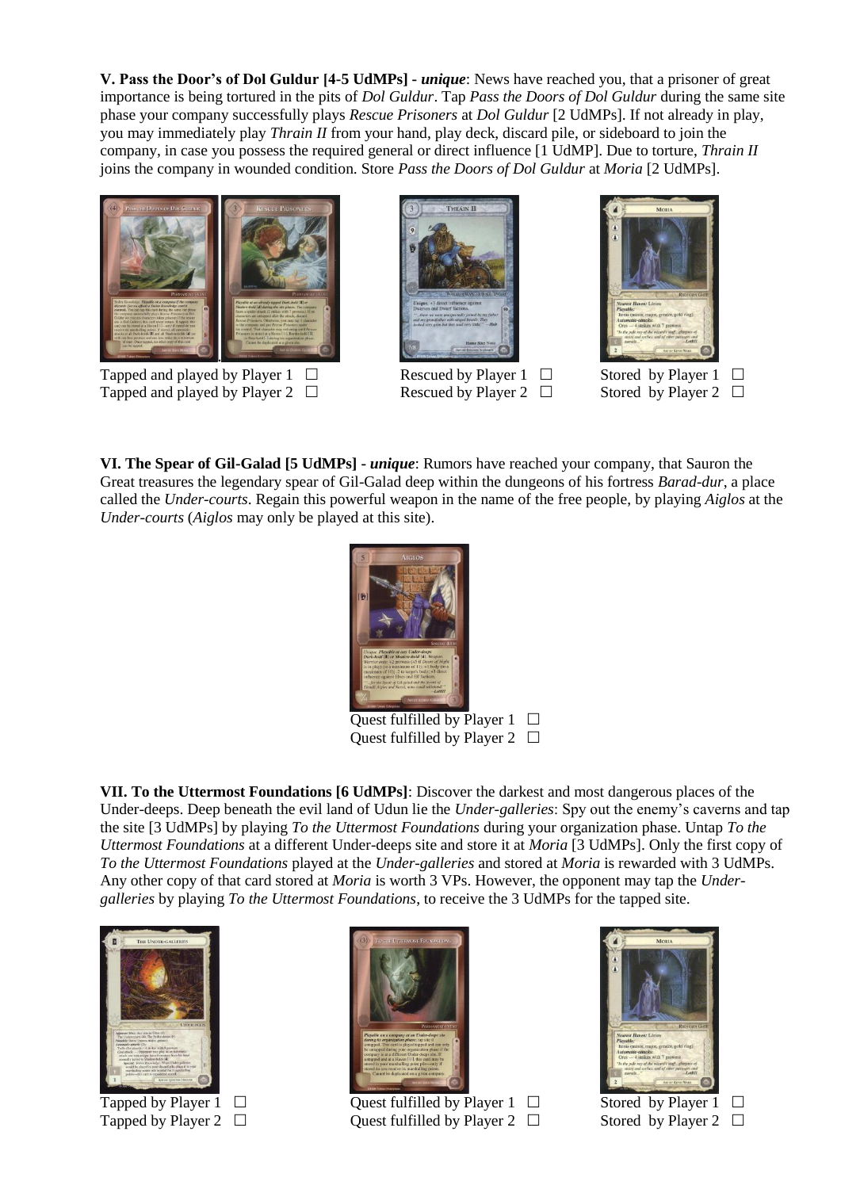**V. Pass the Door's of Dol Guldur [4-5 UdMPs] -** *unique*: News have reached you, that a prisoner of great importance is being tortured in the pits of *Dol Guldur*. Tap *Pass the Doors of Dol Guldur* during the same site phase your company successfully plays *Rescue Prisoners* at *Dol Guldur* [2 UdMPs]. If not already in play, you may immediately play *Thrain II* from your hand, play deck, discard pile, or sideboard to join the company, in case you possess the required general or direct influence [1 UdMP]. Due to torture, *Thrain II*  joins the company in wounded condition. Store *Pass the Doors of Dol Guldur* at *Moria* [2 UdMPs].



Tapped and played by Player 1  $\Box$  Rescued by Player 1  $\Box$  Stored by Player 1  $\Box$ Tapped and played by Player 2  $\Box$  Rescued by Player 2  $\Box$  Stored by Player 2  $\Box$ 





**VI. The Spear of Gil-Galad [5 UdMPs] -** *unique*: Rumors have reached your company, that Sauron the Great treasures the legendary spear of Gil-Galad deep within the dungeons of his fortress *Barad-dur*, a place called the *Under-courts*. Regain this powerful weapon in the name of the free people, by playing *Aiglos* at the *Under-courts* (*Aiglos* may only be played at this site).



Quest fulfilled by Player  $1 \Box$ Quest fulfilled by Player 2  $\Box$ 

**VII. To the Uttermost Foundations [6 UdMPs]**: Discover the darkest and most dangerous places of the Under-deeps. Deep beneath the evil land of Udun lie the *Under-galleries*: Spy out the enemy's caverns and tap the site [3 UdMPs] by playing *To the Uttermost Foundations* during your organization phase. Untap *To the Uttermost Foundations* at a different Under-deeps site and store it at *Moria* [3 UdMPs]. Only the first copy of *To the Uttermost Foundations* played at the *Under-galleries* and stored at *Moria* is rewarded with 3 UdMPs. Any other copy of that card stored at *Moria* is worth 3 VPs. However, the opponent may tap the *Undergalleries* by playing *To the Uttermost Foundations*, to receive the 3 UdMPs for the tapped site.





Tapped by Player 1  $\square$ <br>
Tapped by Player 2  $\square$ <br>
Quest fulfilled by Player 2  $\square$ <br>
Stored by Player 2  $\square$ Ouest fulfilled by Player 2  $\Box$  Stored by Player 2  $\Box$ 

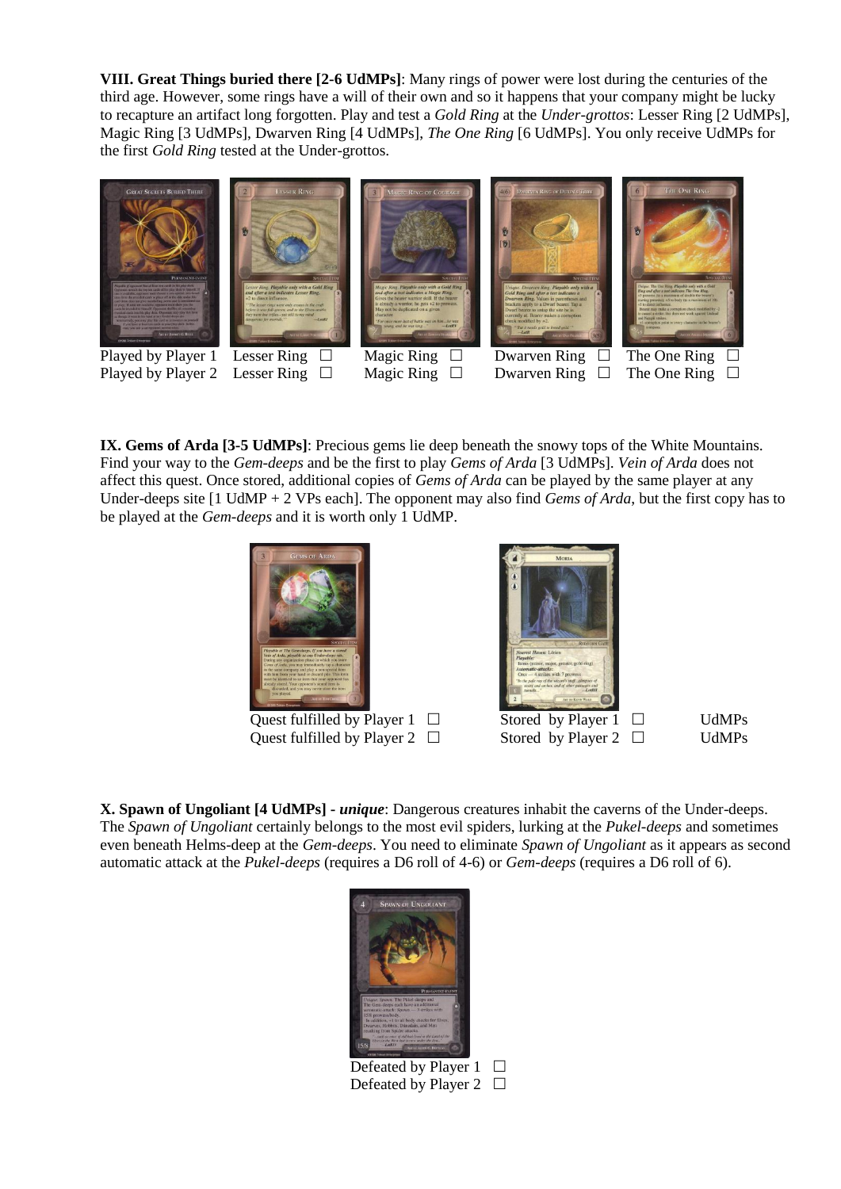**VIII. Great Things buried there [2-6 UdMPs]**: Many rings of power were lost during the centuries of the third age. However, some rings have a will of their own and so it happens that your company might be lucky to recapture an artifact long forgotten. Play and test a *Gold Ring* at the *Under-grottos*: Lesser Ring [2 UdMPs], Magic Ring [3 UdMPs], Dwarven Ring [4 UdMPs], *The One Ring* [6 UdMPs]. You only receive UdMPs for the first *Gold Ring* tested at the Under-grottos.



**IX. Gems of Arda [3-5 UdMPs]**: Precious gems lie deep beneath the snowy tops of the White Mountains. Find your way to the *Gem-deeps* and be the first to play *Gems of Arda* [3 UdMPs]. *Vein of Arda* does not affect this quest. Once stored, additional copies of *Gems of Arda* can be played by the same player at any Under-deeps site [1 UdMP + 2 VPs each]. The opponent may also find *Gems of Arda*, but the first copy has to be played at the *Gem-deeps* and it is worth only 1 UdMP.



Quest fulfilled by Player  $1 \Box$  Stored by Player  $1 \Box$  UdMPs Quest fulfilled by Player 2  $\Box$  Stored by Player 2  $\Box$  UdMPs



**X. Spawn of Ungoliant [4 UdMPs] -** *unique*: Dangerous creatures inhabit the caverns of the Under-deeps. The *Spawn of Ungoliant* certainly belongs to the most evil spiders, lurking at the *Pukel-deeps* and sometimes even beneath Helms-deep at the *Gem-deeps*. You need to eliminate *Spawn of Ungoliant* as it appears as second automatic attack at the *Pukel-deeps* (requires a D6 roll of 4-6) or *Gem-deeps* (requires a D6 roll of 6).



Defeated by Player  $1$   $\Box$ Defeated by Player 2  $\Box$